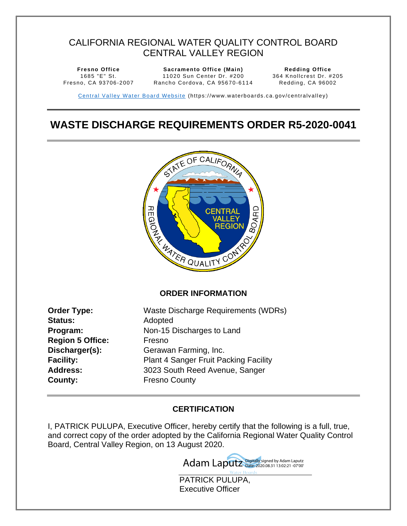# CALIFORNIA REGIONAL WATER QUALITY CONTROL BOARD CENTRAL VALLEY REGION

**Fresno Office**  1685 "E" St. Fresno, CA 93706-2007

**Sacramento Office (Main)**  11020 Sun Center Dr. #200 Rancho Cordova, CA 95670-6114

<span id="page-0-1"></span>**Redding Office**  364 Knollcrest Dr. #205 Redding, CA 96002

Central Valley Water Board Website (https://www.waterboards.ca.gov/centralvalley)

# <span id="page-0-0"></span>**WASTE DISCHARGE REQUIREMENTS ORDER R5-2020-0041**



#### <span id="page-0-2"></span>**ORDER INFORMATION**

| Order Type:             | Waste Discharge Requirements (WDRs)          |
|-------------------------|----------------------------------------------|
| <b>Status:</b>          | Adopted                                      |
| Program:                | Non-15 Discharges to Land                    |
| <b>Region 5 Office:</b> | Fresno                                       |
| Discharger(s):          | Gerawan Farming, Inc.                        |
| <b>Facility:</b>        | <b>Plant 4 Sanger Fruit Packing Facility</b> |
| <b>Address:</b>         | 3023 South Reed Avenue, Sanger               |
| County:                 | <b>Fresno County</b>                         |

### <span id="page-0-4"></span><span id="page-0-3"></span>**CERTIFICATION**

I, PATRICK PULUPA, Executive Officer, hereby certify that the following is a full, true, and correct copy of the order adopted by the California Regional Water Quality Control Board, Central Valley Region, on 13 August 2020.



PATRICK PULUPA, Executive Officer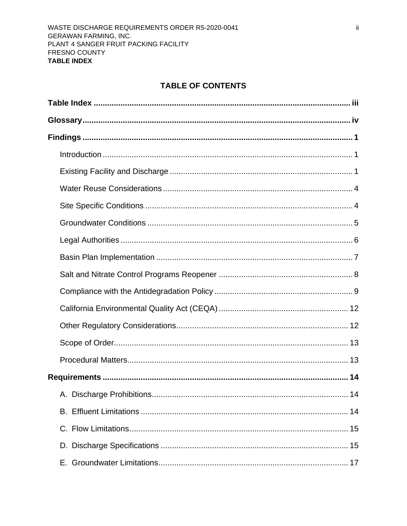# **TABLE OF CONTENTS**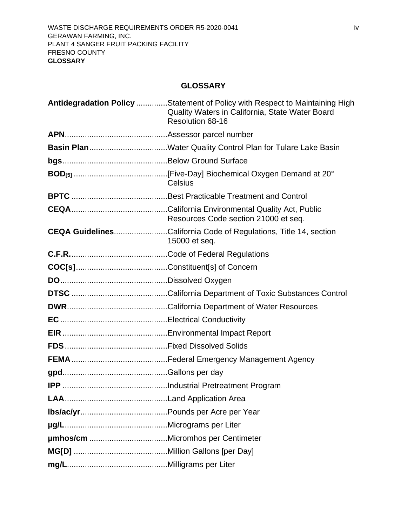# **GLOSSARY**

<span id="page-3-0"></span>

| Antidegradation Policy Statement of Policy with Respect to Maintaining High<br>Quality Waters in California, State Water Board<br>Resolution 68-16 |
|----------------------------------------------------------------------------------------------------------------------------------------------------|
|                                                                                                                                                    |
|                                                                                                                                                    |
|                                                                                                                                                    |
| Celsius                                                                                                                                            |
|                                                                                                                                                    |
| Resources Code section 21000 et seq.                                                                                                               |
| <b>CEQA GuidelinesCalifornia Code of Regulations, Title 14, section</b><br>15000 et seq.                                                           |
|                                                                                                                                                    |
|                                                                                                                                                    |
|                                                                                                                                                    |
|                                                                                                                                                    |
|                                                                                                                                                    |
|                                                                                                                                                    |
|                                                                                                                                                    |
|                                                                                                                                                    |
|                                                                                                                                                    |
|                                                                                                                                                    |
|                                                                                                                                                    |
|                                                                                                                                                    |
|                                                                                                                                                    |
|                                                                                                                                                    |
|                                                                                                                                                    |
|                                                                                                                                                    |
|                                                                                                                                                    |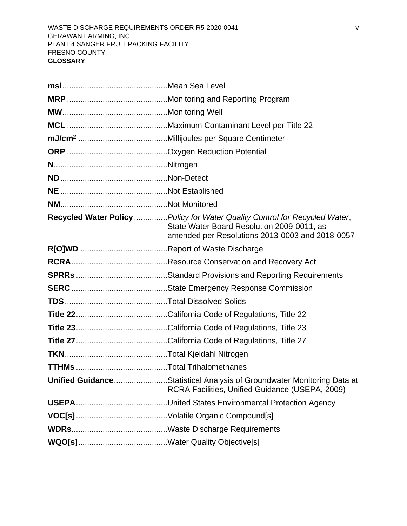| Recycled Water Policy Policy for Water Quality Control for Recycled Water,<br>State Water Board Resolution 2009-0011, as<br>amended per Resolutions 2013-0003 and 2018-0057 |
|-----------------------------------------------------------------------------------------------------------------------------------------------------------------------------|
|                                                                                                                                                                             |
|                                                                                                                                                                             |
|                                                                                                                                                                             |
|                                                                                                                                                                             |
|                                                                                                                                                                             |
|                                                                                                                                                                             |
|                                                                                                                                                                             |
|                                                                                                                                                                             |
|                                                                                                                                                                             |
|                                                                                                                                                                             |
| <b>Unified GuidanceStatistical Analysis of Groundwater Monitoring Data at</b><br>RCRA Facilities, Unified Guidance (USEPA, 2009)                                            |
|                                                                                                                                                                             |
|                                                                                                                                                                             |
|                                                                                                                                                                             |
|                                                                                                                                                                             |
|                                                                                                                                                                             |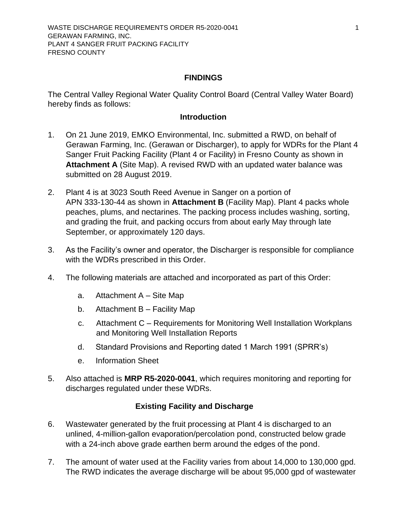#### **FINDINGS**

<span id="page-5-0"></span>The Central Valley Regional Water Quality Control Board (Central Valley Water Board) hereby finds as follows:

#### **Introduction**

- <span id="page-5-1"></span>1. On 21 June 2019, EMKO Environmental, Inc. submitted a RWD, on behalf of Gerawan Farming, Inc. (Gerawan or Discharger), to apply for WDRs for the Plant 4 Sanger Fruit Packing Facility (Plant 4 or Facility) in Fresno County as shown in **Attachment A** (Site Map). A revised RWD with an updated water balance was submitted on 28 August 2019.
- 2. Plant 4 is at 3023 South Reed Avenue in Sanger on a portion of APN 333-130-44 as shown in **Attachment B** (Facility Map). Plant 4 packs whole peaches, plums, and nectarines. The packing process includes washing, sorting, and grading the fruit, and packing occurs from about early May through late September, or approximately 120 days.
- 3. As the Facility's owner and operator, the Discharger is responsible for compliance with the WDRs prescribed in this Order.
- 4. The following materials are attached and incorporated as part of this Order:
	- a. Attachment A Site Map
	- b. Attachment B Facility Map
	- c. Attachment C Requirements for Monitoring Well Installation Workplans and Monitoring Well Installation Reports
	- d. Standard Provisions and Reporting dated 1 March 1991 (SPRR's)
	- e. Information Sheet
- 5. Also attached is **MRP [R5-2020-0](#page-0-1)041**, which requires monitoring and reporting for discharges regulated under these WDRs.

#### **Existing Facility and Discharge**

- <span id="page-5-2"></span>6. Wastewater generated by the fruit processing at Plant 4 is discharged to an unlined, 4-million-gallon evaporation/percolation pond, constructed below grade with a 24-inch above grade earthen berm around the edges of the pond.
- 7. The amount of water used at the Facility varies from about 14,000 to 130,000 gpd. The RWD indicates the average discharge will be about 95,000 gpd of wastewater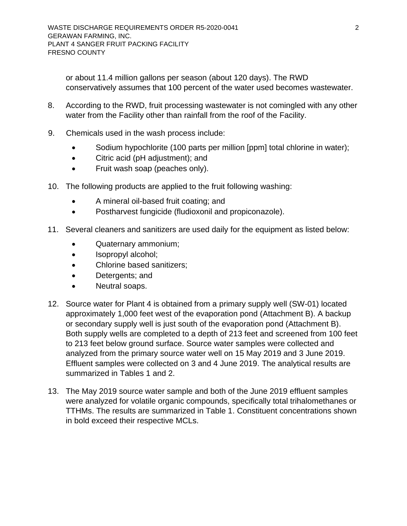or about 11.4 million gallons per season (about 120 days). The RWD conservatively assumes that 100 percent of the water used becomes wastewater.

- 8. According to the RWD, fruit processing wastewater is not comingled with any other water from the Facility other than rainfall from the roof of the Facility.
- 9. Chemicals used in the wash process include:
	- Sodium hypochlorite (100 parts per million [ppm] total chlorine in water);
	- Citric acid (pH adjustment); and
	- Fruit wash soap (peaches only).
- 10. The following products are applied to the fruit following washing:
	- A mineral oil-based fruit coating; and
	- Postharvest fungicide (fludioxonil and propiconazole).
- 11. Several cleaners and sanitizers are used daily for the equipment as listed below:
	- Quaternary ammonium;
	- Isopropyl alcohol;
	- Chlorine based sanitizers;
	- Detergents; and
	- Neutral soaps.
- 12. Source water for Plant 4 is obtained from a primary supply well (SW-01) located approximately 1,000 feet west of the evaporation pond (Attachment B). A backup or secondary supply well is just south of the evaporation pond (Attachment B). Both supply wells are completed to a depth of 213 feet and screened from 100 feet to 213 feet below ground surface. Source water samples were collected and analyzed from the primary source water well on 15 May 2019 and 3 June 2019. Effluent samples were collected on 3 and 4 June 2019. The analytical results are summarized in Tables 1 and 2.
- 13. The May 2019 source water sample and both of the June 2019 effluent samples were analyzed for volatile organic compounds, specifically total trihalomethanes or TTHMs. The results are summarized in Table 1. Constituent concentrations shown in bold exceed their respective MCLs.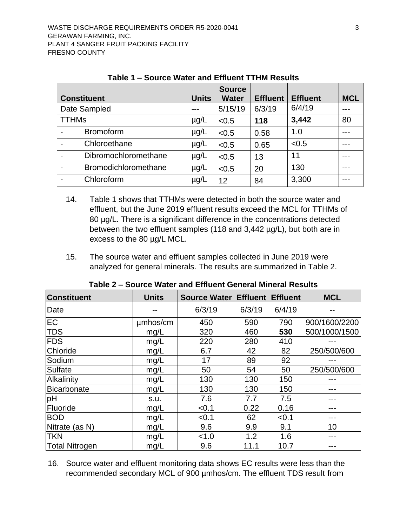| <b>Constituent</b>   | <b>Units</b> | <b>Source</b><br><b>Water</b> | <b>Effluent</b> | <b>Effluent</b> | <b>MCL</b> |
|----------------------|--------------|-------------------------------|-----------------|-----------------|------------|
| Date Sampled         |              | 5/15/19                       | 6/3/19          | 6/4/19          |            |
| <b>TTHMs</b>         | $\mu$ g/L    | < 0.5                         | 118             | 3,442           | 80         |
| <b>Bromoform</b>     | $\mu$ g/L    | < 0.5                         | 0.58            | 1.0             |            |
| Chloroethane         | $\mu$ g/L    | < 0.5                         | 0.65            | < 0.5           |            |
| Dibromochloromethane | $\mu$ g/L    | < 0.5                         | 13              | 11              |            |
| Bromodichloromethane | $\mu$ g/L    | < 0.5                         | 20              | 130             | ---        |
| Chloroform           | $\mu$ g/L    | 12                            | 84              | 3,300           |            |

**Table 1 – Source Water and Effluent TTHM Results**

- 14. Table 1 shows that TTHMs were detected in both the source water and effluent, but the June 2019 effluent results exceed the MCL for TTHMs of 80 µg/L. There is a significant difference in the concentrations detected between the two effluent samples (118 and 3,442 µg/L), but both are in excess to the 80 µg/L MCL.
- 15. The source water and effluent samples collected in June 2019 were analyzed for general minerals. The results are summarized in Table 2.

| <b>Constituent</b>    | <b>Units</b> | Source Water   Effluent   Effluent |        |        | <b>MCL</b>    |
|-----------------------|--------------|------------------------------------|--------|--------|---------------|
| Date                  |              | 6/3/19                             | 6/3/19 | 6/4/19 |               |
| EC                    | umhos/cm     | 450                                | 590    | 790    | 900/1600/2200 |
| <b>TDS</b>            | mg/L         | 320                                | 460    | 530    | 500/1000/1500 |
| <b>FDS</b>            | mg/L         | 220                                | 280    | 410    |               |
| Chloride              | mg/L         | 6.7                                | 42     | 82     | 250/500/600   |
| Sodium                | mg/L         | 17                                 | 89     | 92     |               |
| Sulfate               | mg/L         | 50                                 | 54     | 50     | 250/500/600   |
| Alkalinity            | mg/L         | 130                                | 130    | 150    |               |
| Bicarbonate           | mg/L         | 130                                | 130    | 150    |               |
| pH                    | s.u.         | 7.6                                | 7.7    | 7.5    |               |
| Fluoride              | mg/L         | < 0.1                              | 0.22   | 0.16   |               |
| <b>BOD</b>            | mg/L         | < 0.1                              | 62     | < 0.1  |               |
| Nitrate (as N)        | mg/L         | 9.6                                | 9.9    | 9.1    | 10            |
| <b>TKN</b>            | mg/L         | < 1.0                              | 1.2    | 1.6    | ---           |
| <b>Total Nitrogen</b> | mg/L         | 9.6                                | 11.1   | 10.7   |               |

**Table 2 – Source Water and Effluent General Mineral Results**

16. Source water and effluent monitoring data shows EC results were less than the recommended secondary MCL of 900 µmhos/cm. The effluent TDS result from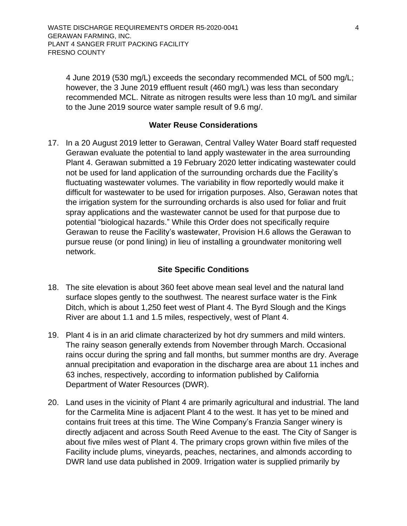4 June 2019 (530 mg/L) exceeds the secondary recommended MCL of 500 mg/L; however, the 3 June 2019 effluent result (460 mg/L) was less than secondary recommended MCL. Nitrate as nitrogen results were less than 10 mg/L and similar to the June 2019 source water sample result of 9.6 mg/.

### **Water Reuse Considerations**

<span id="page-8-0"></span>17. In a 20 August 2019 letter to Gerawan, Central Valley Water Board staff requested Gerawan evaluate the potential to land apply wastewater in the area surrounding Plant 4. Gerawan submitted a 19 February 2020 letter indicating wastewater could not be used for land application of the surrounding orchards due the Facility's fluctuating wastewater volumes. The variability in flow reportedly would make it difficult for wastewater to be used for irrigation purposes. Also, Gerawan notes that the irrigation system for the surrounding orchards is also used for foliar and fruit spray applications and the wastewater cannot be used for that purpose due to potential "biological hazards." While this Order does not specifically require Gerawan to reuse the Facility's wastewater, Provision H.6 allows the Gerawan to pursue reuse (or pond lining) in lieu of installing a groundwater monitoring well network.

### **Site Specific Conditions**

- <span id="page-8-1"></span>18. The site elevation is about 360 feet above mean seal level and the natural land surface slopes gently to the southwest. The nearest surface water is the Fink Ditch, which is about 1,250 feet west of Plant 4. The Byrd Slough and the Kings River are about 1.1 and 1.5 miles, respectively, west of Plant 4.
- 19. Plant 4 is in an arid climate characterized by hot dry summers and mild winters. The rainy season generally extends from November through March. Occasional rains occur during the spring and fall months, but summer months are dry. Average annual precipitation and evaporation in the discharge area are about 11 inches and 63 inches, respectively, according to information published by California Department of Water Resources (DWR).
- 20. Land uses in the vicinity of Plant 4 are primarily agricultural and industrial. The land for the Carmelita Mine is adjacent Plant 4 to the west. It has yet to be mined and contains fruit trees at this time. The Wine Company's Franzia Sanger winery is directly adjacent and across South Reed Avenue to the east. The City of Sanger is about five miles west of Plant 4. The primary crops grown within five miles of the Facility include plums, vineyards, peaches, nectarines, and almonds according to DWR land use data published in 2009. Irrigation water is supplied primarily by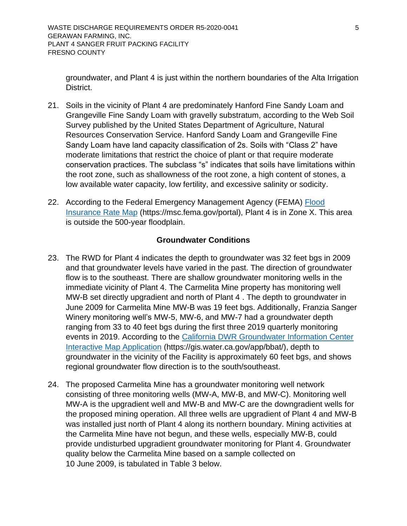groundwater, and Plant 4 is just within the northern boundaries of the Alta Irrigation District.

- 21. Soils in the vicinity of Plant 4 are predominately Hanford Fine Sandy Loam and Grangeville Fine Sandy Loam with gravelly substratum, according to the Web Soil Survey published by the United States Department of Agriculture, Natural Resources Conservation Service. Hanford Sandy Loam and Grangeville Fine Sandy Loam have land capacity classification of 2s. Soils with "Class 2" have moderate limitations that restrict the choice of plant or that require moderate conservation practices. The subclass "s" indicates that soils have limitations within the root zone, such as shallowness of the root zone, a high content of stones, a low available water capacity, low fertility, and excessive salinity or sodicity.
- 22. According to the Federal Emergency Management Agency (FEMA) Flood [Insurance Rate Map](https://msc.fema.gov/portal) (https://msc.fema.gov/portal), Plant 4 is in Zone X. This area is outside the 500-year floodplain.

### **Groundwater Conditions**

- <span id="page-9-0"></span>23. The RWD for Plant 4 indicates the depth to groundwater was 32 feet bgs in 2009 and that groundwater levels have varied in the past. The direction of groundwater flow is to the southeast. There are shallow groundwater monitoring wells in the immediate vicinity of Plant 4. The Carmelita Mine property has monitoring well MW-B set directly upgradient and north of Plant 4 . The depth to groundwater in June 2009 for Carmelita Mine MW-B was 19 feet bgs. Additionally, Franzia Sanger Winery monitoring well's MW-5, MW-6, and MW-7 had a groundwater depth ranging from 33 to 40 feet bgs during the first three 2019 quarterly monitoring events in 2019. According to the [California DWR Groundwater Information Center](https://gis.water.ca.gov/app/bbat/)  [Interactive Map Application](https://gis.water.ca.gov/app/bbat/) (https://gis.water.ca.gov/app/bbat/), depth to groundwater in the vicinity of the Facility is approximately 60 feet bgs, and shows regional groundwater flow direction is to the south/southeast.
- 24. The proposed Carmelita Mine has a groundwater monitoring well network consisting of three monitoring wells (MW-A, MW-B, and MW-C). Monitoring well MW-A is the upgradient well and MW-B and MW-C are the downgradient wells for the proposed mining operation. All three wells are upgradient of Plant 4 and MW-B was installed just north of Plant 4 along its northern boundary. Mining activities at the Carmelita Mine have not begun, and these wells, especially MW-B, could provide undisturbed upgradient groundwater monitoring for Plant 4. Groundwater quality below the Carmelita Mine based on a sample collected on 10 June 2009, is tabulated in Table 3 below.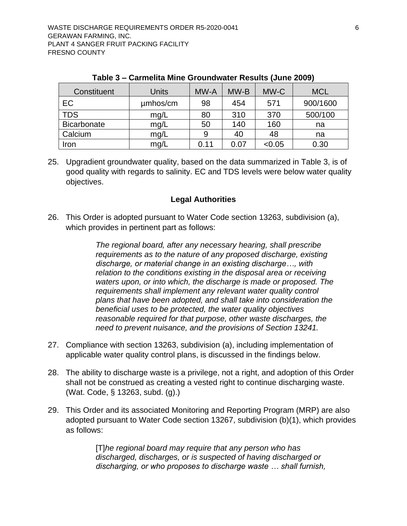| Constituent | <b>Units</b> | MW-A | MW-B | MW-C   | <b>MCL</b> |
|-------------|--------------|------|------|--------|------------|
| EC          | umhos/cm     | 98   | 454  | 571    | 900/1600   |
| <b>TDS</b>  | mg/L         | 80   | 310  | 370    | 500/100    |
| Bicarbonate | mg/L         | 50   | 140  | 160    | na         |
| Calcium     | mg/L         | 9    | 40   | 48     | na         |
| Iron        | mg/L         | 0.11 | 0.07 | < 0.05 | 0.30       |

**Table 3 – Carmelita Mine Groundwater Results (June 2009)**

25. Upgradient groundwater quality, based on the data summarized in Table 3, is of good quality with regards to salinity. EC and TDS levels were below water quality objectives.

### **Legal Authorities**

<span id="page-10-0"></span>26. This Order is adopted pursuant to Water Code section 13263, subdivision (a), which provides in pertinent part as follows:

> *The regional board, after any necessary hearing, shall prescribe requirements as to the nature of any proposed discharge, existing discharge, or material change in an existing discharge…, with relation to the conditions existing in the disposal area or receiving waters upon, or into which, the discharge is made or proposed. The requirements shall implement any relevant water quality control plans that have been adopted, and shall take into consideration the beneficial uses to be protected, the water quality objectives reasonable required for that purpose, other waste discharges, the need to prevent nuisance, and the provisions of Section 13241.*

- 27. Compliance with section 13263, subdivision (a), including implementation of applicable water quality control plans, is discussed in the findings below.
- 28. The ability to discharge waste is a privilege, not a right, and adoption of this Order shall not be construed as creating a vested right to continue discharging waste. (Wat. Code, § 13263, subd. (g).)
- 29. This Order and its associated Monitoring and Reporting Program (MRP) are also adopted pursuant to Water Code section 13267, subdivision (b)(1), which provides as follows:

[T]*he regional board may require that any person who has discharged, discharges, or is suspected of having discharged or discharging, or who proposes to discharge waste … shall furnish,*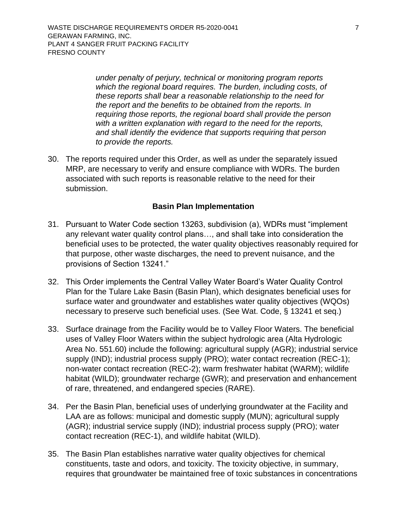*under penalty of perjury, technical or monitoring program reports which the regional board requires. The burden, including costs, of these reports shall bear a reasonable relationship to the need for the report and the benefits to be obtained from the reports. In requiring those reports, the regional board shall provide the person with a written explanation with regard to the need for the reports, and shall identify the evidence that supports requiring that person to provide the reports.*

30. The reports required under this Order, as well as under the separately issued MRP, are necessary to verify and ensure compliance with WDRs. The burden associated with such reports is reasonable relative to the need for their submission.

#### **Basin Plan Implementation**

- <span id="page-11-0"></span>31. Pursuant to Water Code section 13263, subdivision (a), WDRs must "implement any relevant water quality control plans…, and shall take into consideration the beneficial uses to be protected, the water quality objectives reasonably required for that purpose, other waste discharges, the need to prevent nuisance, and the provisions of Section 13241."
- 32. This Order implements the Central Valley Water Board's Water Quality Control Plan for the Tulare Lake Basin (Basin Plan), which designates beneficial uses for surface water and groundwater and establishes water quality objectives (WQOs) necessary to preserve such beneficial uses. (See Wat. Code, § 13241 et seq.)
- 33. Surface drainage from the Facility would be to Valley Floor Waters. The beneficial uses of Valley Floor Waters within the subject hydrologic area (Alta Hydrologic Area No. 551.60) include the following: agricultural supply (AGR); industrial service supply (IND); industrial process supply (PRO); water contact recreation (REC-1); non-water contact recreation (REC-2); warm freshwater habitat (WARM); wildlife habitat (WILD); groundwater recharge (GWR); and preservation and enhancement of rare, threatened, and endangered species (RARE).
- 34. Per the Basin Plan, beneficial uses of underlying groundwater at the Facility and LAA are as follows: municipal and domestic supply (MUN); agricultural supply (AGR); industrial service supply (IND); industrial process supply (PRO); water contact recreation (REC-1), and wildlife habitat (WILD).
- 35. The Basin Plan establishes narrative water quality objectives for chemical constituents, taste and odors, and toxicity. The toxicity objective, in summary, requires that groundwater be maintained free of toxic substances in concentrations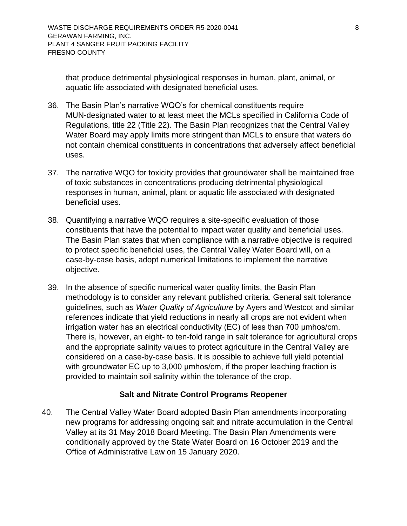that produce detrimental physiological responses in human, plant, animal, or aquatic life associated with designated beneficial uses.

- 36. The Basin Plan's narrative WQO's for chemical constituents require MUN-designated water to at least meet the MCLs specified in California Code of Regulations, title 22 (Title 22). The Basin Plan recognizes that the Central Valley Water Board may apply limits more stringent than MCLs to ensure that waters do not contain chemical constituents in concentrations that adversely affect beneficial uses.
- 37. The narrative WQO for toxicity provides that groundwater shall be maintained free of toxic substances in concentrations producing detrimental physiological responses in human, animal, plant or aquatic life associated with designated beneficial uses.
- 38. Quantifying a narrative WQO requires a site-specific evaluation of those constituents that have the potential to impact water quality and beneficial uses. The Basin Plan states that when compliance with a narrative objective is required to protect specific beneficial uses, the Central Valley Water Board will, on a case-by-case basis, adopt numerical limitations to implement the narrative objective.
- 39. In the absence of specific numerical water quality limits, the Basin Plan methodology is to consider any relevant published criteria. General salt tolerance guidelines, such as *Water Quality of Agriculture* by Ayers and Westcot and similar references indicate that yield reductions in nearly all crops are not evident when irrigation water has an electrical conductivity (EC) of less than 700 μmhos/cm. There is, however, an eight- to ten-fold range in salt tolerance for agricultural crops and the appropriate salinity values to protect agriculture in the Central Valley are considered on a case-by-case basis. It is possible to achieve full yield potential with groundwater EC up to 3,000 μmhos/cm, if the proper leaching fraction is provided to maintain soil salinity within the tolerance of the crop.

## **Salt and Nitrate Control Programs Reopener**

<span id="page-12-0"></span>40. The Central Valley Water Board adopted Basin Plan amendments incorporating new programs for addressing ongoing salt and nitrate accumulation in the Central Valley at its 31 May 2018 Board Meeting. The Basin Plan Amendments were conditionally approved by the State Water Board on 16 October 2019 and the Office of Administrative Law on 15 January 2020.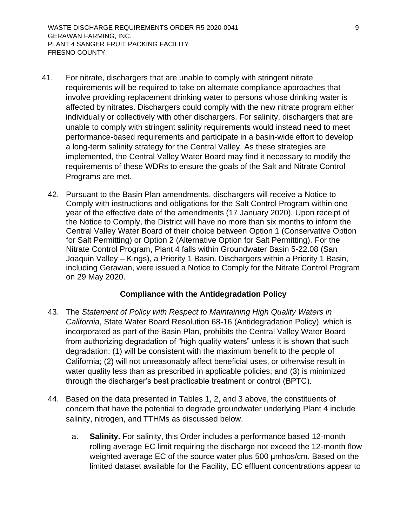- 41. For nitrate, dischargers that are unable to comply with stringent nitrate requirements will be required to take on alternate compliance approaches that involve providing replacement drinking water to persons whose drinking water is affected by nitrates. Dischargers could comply with the new nitrate program either individually or collectively with other dischargers. For salinity, dischargers that are unable to comply with stringent salinity requirements would instead need to meet performance-based requirements and participate in a basin-wide effort to develop a long-term salinity strategy for the Central Valley. As these strategies are implemented, the Central Valley Water Board may find it necessary to modify the requirements of these WDRs to ensure the goals of the Salt and Nitrate Control Programs are met.
	- 42. Pursuant to the Basin Plan amendments, dischargers will receive a Notice to Comply with instructions and obligations for the Salt Control Program within one year of the effective date of the amendments (17 January 2020). Upon receipt of the Notice to Comply, the District will have no more than six months to inform the Central Valley Water Board of their choice between Option 1 (Conservative Option for Salt Permitting) or Option 2 (Alternative Option for Salt Permitting). For the Nitrate Control Program, Plant 4 falls within Groundwater Basin 5-22.08 (San Joaquin Valley – Kings), a Priority 1 Basin. Dischargers within a Priority 1 Basin, including Gerawan, were issued a Notice to Comply for the Nitrate Control Program on 29 May 2020.

### **Compliance with the Antidegradation Policy**

- <span id="page-13-0"></span>43. The *Statement of Policy with Respect to Maintaining High Quality Waters in California*, State Water Board Resolution 68-16 (Antidegradation Policy), which is incorporated as part of the Basin Plan, prohibits the Central Valley Water Board from authorizing degradation of "high quality waters" unless it is shown that such degradation: (1) will be consistent with the maximum benefit to the people of California; (2) will not unreasonably affect beneficial uses, or otherwise result in water quality less than as prescribed in applicable policies; and (3) is minimized through the discharger's best practicable treatment or control (BPTC).
- 44. Based on the data presented in Tables 1, 2, and 3 above, the constituents of concern that have the potential to degrade groundwater underlying Plant 4 include salinity, nitrogen, and TTHMs as discussed below.
	- a. **Salinity.** For salinity, this Order includes a performance based 12-month rolling average EC limit requiring the discharge not exceed the 12-month flow weighted average EC of the source water plus 500  $\mu$ mhos/cm. Based on the limited dataset available for the Facility, EC effluent concentrations appear to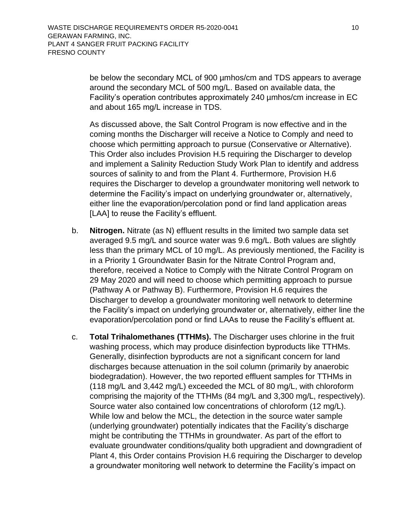be below the secondary MCL of 900 µmhos/cm and TDS appears to average around the secondary MCL of 500 mg/L. Based on available data, the Facility's operation contributes approximately 240 µmhos/cm increase in EC and about 165 mg/L increase in TDS.

As discussed above, the Salt Control Program is now effective and in the coming months the Discharger will receive a Notice to Comply and need to choose which permitting approach to pursue (Conservative or Alternative). This Order also includes Provision H.5 requiring the Discharger to develop and implement a Salinity Reduction Study Work Plan to identify and address sources of salinity to and from the Plant 4. Furthermore, Provision H.6 requires the Discharger to develop a groundwater monitoring well network to determine the Facility's impact on underlying groundwater or, alternatively, either line the evaporation/percolation pond or find land application areas [LAA] to reuse the Facility's effluent.

- b. **Nitrogen.** Nitrate (as N) effluent results in the limited two sample data set averaged 9.5 mg/L and source water was 9.6 mg/L. Both values are slightly less than the primary MCL of 10 mg/L. As previously mentioned, the Facility is in a Priority 1 Groundwater Basin for the Nitrate Control Program and, therefore, received a Notice to Comply with the Nitrate Control Program on 29 May 2020 and will need to choose which permitting approach to pursue (Pathway A or Pathway B). Furthermore, Provision H.6 requires the Discharger to develop a groundwater monitoring well network to determine the Facility's impact on underlying groundwater or, alternatively, either line the evaporation/percolation pond or find LAAs to reuse the Facility's effluent at.
- c. **Total Trihalomethanes (TTHMs).** The Discharger uses chlorine in the fruit washing process, which may produce disinfection byproducts like TTHMs. Generally, disinfection byproducts are not a significant concern for land discharges because attenuation in the soil column (primarily by anaerobic biodegradation). However, the two reported effluent samples for TTHMs in (118 mg/L and 3,442 mg/L) exceeded the MCL of 80 mg/L, with chloroform comprising the majority of the TTHMs (84 mg/L and 3,300 mg/L, respectively). Source water also contained low concentrations of chloroform (12 mg/L). While low and below the MCL, the detection in the source water sample (underlying groundwater) potentially indicates that the Facility's discharge might be contributing the TTHMs in groundwater. As part of the effort to evaluate groundwater conditions/quality both upgradient and downgradient of Plant 4, this Order contains Provision H.6 requiring the Discharger to develop a groundwater monitoring well network to determine the Facility's impact on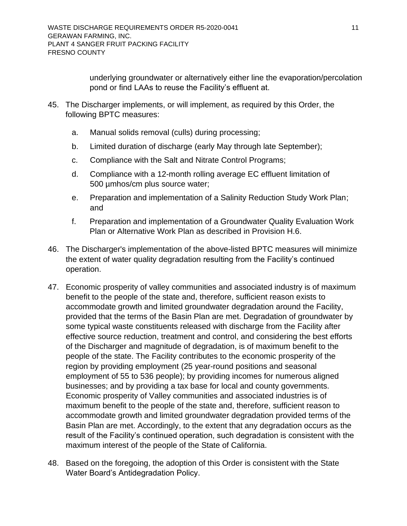underlying groundwater or alternatively either line the evaporation/percolation pond or find LAAs to reuse the Facility's effluent at.

- 45. The Discharger implements, or will implement, as required by this Order, the following BPTC measures:
	- a. Manual solids removal (culls) during processing;
	- b. Limited duration of discharge (early May through late September);
	- c. Compliance with the Salt and Nitrate Control Programs;
	- d. Compliance with a 12-month rolling average EC effluent limitation of 500 µmhos/cm plus source water;
	- e. Preparation and implementation of a Salinity Reduction Study Work Plan; and
	- f. Preparation and implementation of a Groundwater Quality Evaluation Work Plan or Alternative Work Plan as described in Provision H.6.
- 46. The Discharger's implementation of the above-listed BPTC measures will minimize the extent of water quality degradation resulting from the Facility's continued operation.
- 47. Economic prosperity of valley communities and associated industry is of maximum benefit to the people of the state and, therefore, sufficient reason exists to accommodate growth and limited groundwater degradation around the Facility, provided that the terms of the Basin Plan are met. Degradation of groundwater by some typical waste constituents released with discharge from the Facility after effective source reduction, treatment and control, and considering the best efforts of the Discharger and magnitude of degradation, is of maximum benefit to the people of the state. The Facility contributes to the economic prosperity of the region by providing employment (25 year-round positions and seasonal employment of 55 to 536 people); by providing incomes for numerous aligned businesses; and by providing a tax base for local and county governments. Economic prosperity of Valley communities and associated industries is of maximum benefit to the people of the state and, therefore, sufficient reason to accommodate growth and limited groundwater degradation provided terms of the Basin Plan are met. Accordingly, to the extent that any degradation occurs as the result of the Facility's continued operation, such degradation is consistent with the maximum interest of the people of the State of California.
- 48. Based on the foregoing, the adoption of this Order is consistent with the State Water Board's Antidegradation Policy.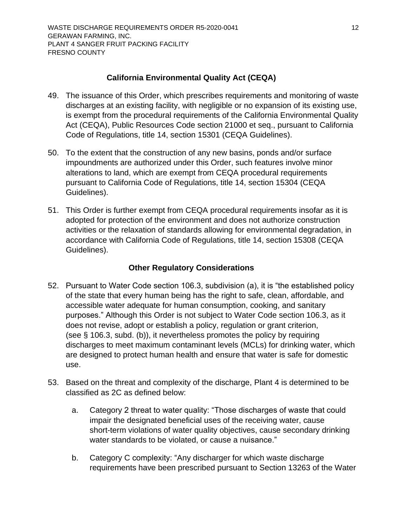### **California Environmental Quality Act (CEQA)**

- <span id="page-16-0"></span>49. The issuance of this Order, which prescribes requirements and monitoring of waste discharges at an existing facility, with negligible or no expansion of its existing use, is exempt from the procedural requirements of the California Environmental Quality Act (CEQA), Public Resources Code section 21000 et seq., pursuant to California Code of Regulations, title 14, section 15301 (CEQA Guidelines).
- 50. To the extent that the construction of any new basins, ponds and/or surface impoundments are authorized under this Order, such features involve minor alterations to land, which are exempt from CEQA procedural requirements pursuant to California Code of Regulations, title 14, section 15304 (CEQA Guidelines).
- 51. This Order is further exempt from CEQA procedural requirements insofar as it is adopted for protection of the environment and does not authorize construction activities or the relaxation of standards allowing for environmental degradation, in accordance with California Code of Regulations, title 14, section 15308 (CEQA Guidelines).

## **Other Regulatory Considerations**

- <span id="page-16-1"></span>52. Pursuant to Water Code section 106.3, subdivision (a), it is "the established policy of the state that every human being has the right to safe, clean, affordable, and accessible water adequate for human consumption, cooking, and sanitary purposes." Although this Order is not subject to Water Code section 106.3, as it does not revise, adopt or establish a policy, regulation or grant criterion, (see § 106.3, subd. (b)), it nevertheless promotes the policy by requiring discharges to meet maximum contaminant levels (MCLs) for drinking water, which are designed to protect human health and ensure that water is safe for domestic use.
- 53. Based on the threat and complexity of the discharge, Plant 4 is determined to be classified as 2C as defined below:
	- a. Category 2 threat to water quality: "Those discharges of waste that could impair the designated beneficial uses of the receiving water, cause short-term violations of water quality objectives, cause secondary drinking water standards to be violated, or cause a nuisance."
	- b. Category C complexity: "Any discharger for which waste discharge requirements have been prescribed pursuant to Section 13263 of the Water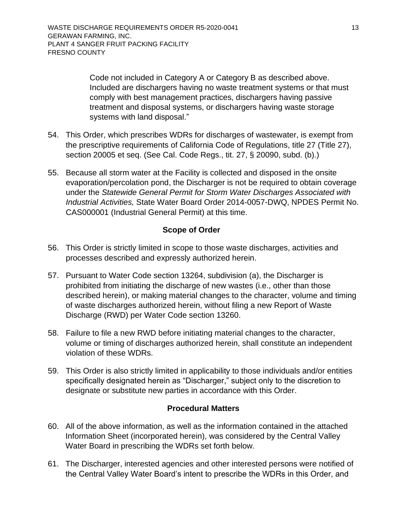Code not included in Category A or Category B as described above. Included are dischargers having no waste treatment systems or that must comply with best management practices, dischargers having passive treatment and disposal systems, or dischargers having waste storage systems with land disposal."

- 54. This Order, which prescribes WDRs for discharges of wastewater, is exempt from the prescriptive requirements of California Code of Regulations, title 27 (Title 27), section 20005 et seq. (See Cal. Code Regs., tit. 27, § 20090, subd. (b).)
- 55. Because all storm water at the Facility is collected and disposed in the onsite evaporation/percolation pond, the Discharger is not be required to obtain coverage under the *Statewide General Permit for Storm Water Discharges Associated with Industrial Activities,* State Water Board Order 2014-0057-DWQ, NPDES Permit No. CAS000001 (Industrial General Permit) at this time.

### **Scope of Order**

- <span id="page-17-0"></span>56. This Order is strictly limited in scope to those waste discharges, activities and processes described and expressly authorized herein.
- 57. Pursuant to Water Code section 13264, subdivision (a), the Discharger is prohibited from initiating the discharge of new wastes (i.e., other than those described herein), or making material changes to the character, volume and timing of waste discharges authorized herein, without filing a new Report of Waste Discharge (RWD) per Water Code section 13260.
- 58. Failure to file a new RWD before initiating material changes to the character, volume or timing of discharges authorized herein, shall constitute an independent violation of these WDRs.
- 59. This Order is also strictly limited in applicability to those individuals and/or entities specifically designated herein as "Discharger," subject only to the discretion to designate or substitute new parties in accordance with this Order.

### **Procedural Matters**

- <span id="page-17-1"></span>60. All of the above information, as well as the information contained in the attached Information Sheet (incorporated herein), was considered by the Central Valley Water Board in prescribing the WDRs set forth below.
- 61. The Discharger, interested agencies and other interested persons were notified of the Central Valley Water Board's intent to prescribe the WDRs in this Order, and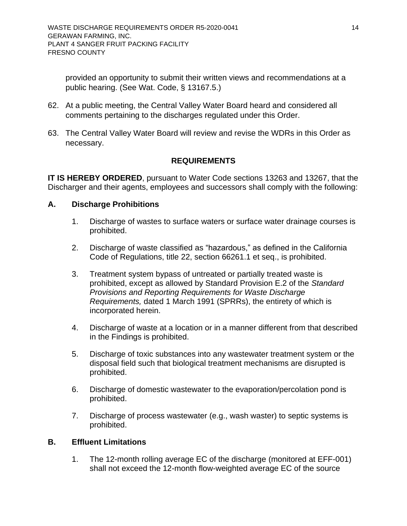provided an opportunity to submit their written views and recommendations at a public hearing. (See Wat. Code, § 13167.5.)

- 62. At a public meeting, the Central Valley Water Board heard and considered all comments pertaining to the discharges regulated under this Order.
- 63. The Central Valley Water Board will review and revise the WDRs in this Order as necessary.

## **REQUIREMENTS**

<span id="page-18-0"></span>**IT IS HEREBY ORDERED**, pursuant to Water Code sections 13263 and 13267, that the Discharger and their agents, employees and successors shall comply with the following:

### <span id="page-18-1"></span>**A. Discharge Prohibitions**

- 1. Discharge of wastes to surface waters or surface water drainage courses is prohibited.
- 2. Discharge of waste classified as "hazardous," as defined in the California Code of Regulations, title 22, section 66261.1 et seq., is prohibited.
- 3. Treatment system bypass of untreated or partially treated waste is prohibited, except as allowed by Standard Provision E.2 of the *Standard Provisions and Reporting Requirements for Waste Discharge Requirements,* dated 1 March 1991 (SPRRs), the entirety of which is incorporated herein.
- 4. Discharge of waste at a location or in a manner different from that described in the Findings is prohibited.
- 5. Discharge of toxic substances into any wastewater treatment system or the disposal field such that biological treatment mechanisms are disrupted is prohibited.
- 6. Discharge of domestic wastewater to the evaporation/percolation pond is prohibited.
- 7. Discharge of process wastewater (e.g., wash waster) to septic systems is prohibited.

### <span id="page-18-2"></span>**B. Effluent Limitations**

1. The 12-month rolling average EC of the discharge (monitored at EFF-001) shall not exceed the 12-month flow-weighted average EC of the source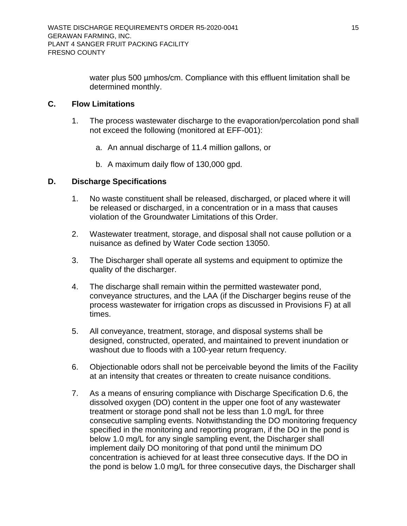water plus 500 µmhos/cm. Compliance with this effluent limitation shall be determined monthly.

### <span id="page-19-0"></span>**C. Flow Limitations**

- 1. The process wastewater discharge to the evaporation/percolation pond shall not exceed the following (monitored at EFF-001):
	- a. An annual discharge of 11.4 million gallons, or
	- b. A maximum daily flow of 130,000 gpd.

### <span id="page-19-1"></span>**D. Discharge Specifications**

- 1. No waste constituent shall be released, discharged, or placed where it will be released or discharged, in a concentration or in a mass that causes violation of the Groundwater Limitations of this Order.
- 2. Wastewater treatment, storage, and disposal shall not cause pollution or a nuisance as defined by Water Code section 13050.
- 3. The Discharger shall operate all systems and equipment to optimize the quality of the discharger.
- 4. The discharge shall remain within the permitted wastewater pond, conveyance structures, and the LAA (if the Discharger begins reuse of the process wastewater for irrigation crops as discussed in Provisions F) at all times.
- 5. All conveyance, treatment, storage, and disposal systems shall be designed, constructed, operated, and maintained to prevent inundation or washout due to floods with a 100-year return frequency.
- 6. Objectionable odors shall not be perceivable beyond the limits of the Facility at an intensity that creates or threaten to create nuisance conditions.
- 7. As a means of ensuring compliance with Discharge Specification D.6, the dissolved oxygen (DO) content in the upper one foot of any wastewater treatment or storage pond shall not be less than 1.0 mg/L for three consecutive sampling events. Notwithstanding the DO monitoring frequency specified in the monitoring and reporting program, if the DO in the pond is below 1.0 mg/L for any single sampling event, the Discharger shall implement daily DO monitoring of that pond until the minimum DO concentration is achieved for at least three consecutive days. If the DO in the pond is below 1.0 mg/L for three consecutive days, the Discharger shall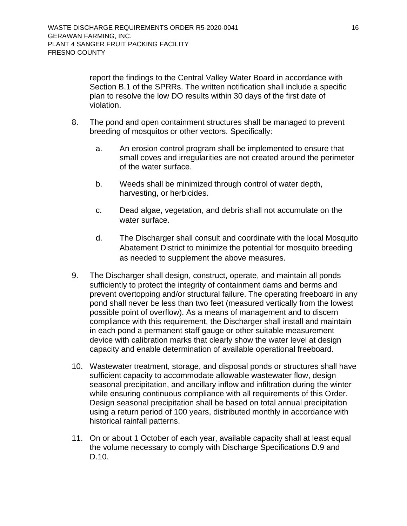report the findings to the Central Valley Water Board in accordance with Section B.1 of the SPRRs. The written notification shall include a specific plan to resolve the low DO results within 30 days of the first date of violation.

- 8. The pond and open containment structures shall be managed to prevent breeding of mosquitos or other vectors. Specifically:
	- a. An erosion control program shall be implemented to ensure that small coves and irregularities are not created around the perimeter of the water surface.
	- b. Weeds shall be minimized through control of water depth, harvesting, or herbicides.
	- c. Dead algae, vegetation, and debris shall not accumulate on the water surface.
	- d. The Discharger shall consult and coordinate with the local Mosquito Abatement District to minimize the potential for mosquito breeding as needed to supplement the above measures.
- 9. The Discharger shall design, construct, operate, and maintain all ponds sufficiently to protect the integrity of containment dams and berms and prevent overtopping and/or structural failure. The operating freeboard in any pond shall never be less than two feet (measured vertically from the lowest possible point of overflow). As a means of management and to discern compliance with this requirement, the Discharger shall install and maintain in each pond a permanent staff gauge or other suitable measurement device with calibration marks that clearly show the water level at design capacity and enable determination of available operational freeboard.
- 10. Wastewater treatment, storage, and disposal ponds or structures shall have sufficient capacity to accommodate allowable wastewater flow, design seasonal precipitation, and ancillary inflow and infiltration during the winter while ensuring continuous compliance with all requirements of this Order. Design seasonal precipitation shall be based on total annual precipitation using a return period of 100 years, distributed monthly in accordance with historical rainfall patterns.
- 11. On or about 1 October of each year, available capacity shall at least equal the volume necessary to comply with Discharge Specifications D.9 and D.10.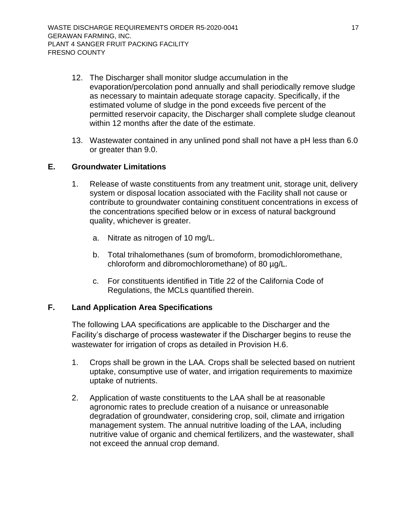- 12. The Discharger shall monitor sludge accumulation in the evaporation/percolation pond annually and shall periodically remove sludge as necessary to maintain adequate storage capacity. Specifically, if the estimated volume of sludge in the pond exceeds five percent of the permitted reservoir capacity, the Discharger shall complete sludge cleanout within 12 months after the date of the estimate.
- 13. Wastewater contained in any unlined pond shall not have a pH less than 6.0 or greater than 9.0.

### <span id="page-21-0"></span>**E. Groundwater Limitations**

- 1. Release of waste constituents from any treatment unit, storage unit, delivery system or disposal location associated with the Facility shall not cause or contribute to groundwater containing constituent concentrations in excess of the concentrations specified below or in excess of natural background quality, whichever is greater.
	- a. Nitrate as nitrogen of 10 mg/L.
	- b. Total trihalomethanes (sum of bromoform, bromodichloromethane, chloroform and dibromochloromethane) of 80 µg/L.
	- c. For constituents identified in Title 22 of the California Code of Regulations, the MCLs quantified therein.

### <span id="page-21-1"></span>**F. Land Application Area Specifications**

The following LAA specifications are applicable to the Discharger and the Facility's discharge of process wastewater if the Discharger begins to reuse the wastewater for irrigation of crops as detailed in Provision H.6.

- 1. Crops shall be grown in the LAA. Crops shall be selected based on nutrient uptake, consumptive use of water, and irrigation requirements to maximize uptake of nutrients.
- 2. Application of waste constituents to the LAA shall be at reasonable agronomic rates to preclude creation of a nuisance or unreasonable degradation of groundwater, considering crop, soil, climate and irrigation management system. The annual nutritive loading of the LAA, including nutritive value of organic and chemical fertilizers, and the wastewater, shall not exceed the annual crop demand.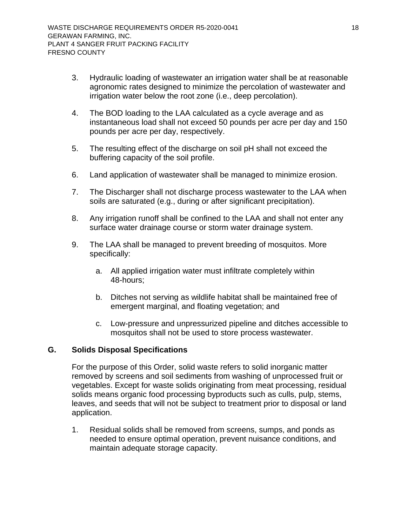- 3. Hydraulic loading of wastewater an irrigation water shall be at reasonable agronomic rates designed to minimize the percolation of wastewater and irrigation water below the root zone (i.e., deep percolation).
- 4. The BOD loading to the LAA calculated as a cycle average and as instantaneous load shall not exceed 50 pounds per acre per day and 150 pounds per acre per day, respectively.
- 5. The resulting effect of the discharge on soil pH shall not exceed the buffering capacity of the soil profile.
- 6. Land application of wastewater shall be managed to minimize erosion.
- 7. The Discharger shall not discharge process wastewater to the LAA when soils are saturated (e.g., during or after significant precipitation).
- 8. Any irrigation runoff shall be confined to the LAA and shall not enter any surface water drainage course or storm water drainage system.
- 9. The LAA shall be managed to prevent breeding of mosquitos. More specifically:
	- a. All applied irrigation water must infiltrate completely within 48-hours;
	- b. Ditches not serving as wildlife habitat shall be maintained free of emergent marginal, and floating vegetation; and
	- c. Low-pressure and unpressurized pipeline and ditches accessible to mosquitos shall not be used to store process wastewater.

### <span id="page-22-0"></span>**G. Solids Disposal Specifications**

For the purpose of this Order, solid waste refers to solid inorganic matter removed by screens and soil sediments from washing of unprocessed fruit or vegetables. Except for waste solids originating from meat processing, residual solids means organic food processing byproducts such as culls, pulp, stems, leaves, and seeds that will not be subject to treatment prior to disposal or land application.

1. Residual solids shall be removed from screens, sumps, and ponds as needed to ensure optimal operation, prevent nuisance conditions, and maintain adequate storage capacity.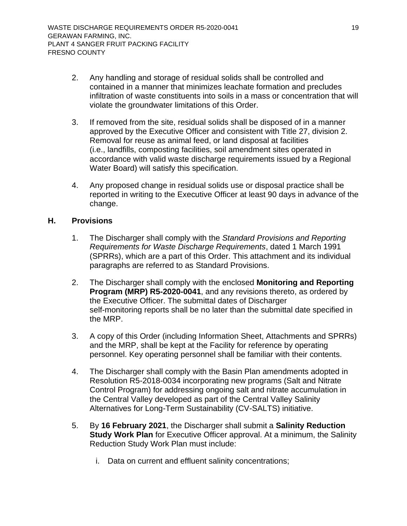- 2. Any handling and storage of residual solids shall be controlled and contained in a manner that minimizes leachate formation and precludes infiltration of waste constituents into soils in a mass or concentration that will violate the groundwater limitations of this Order.
- 3. If removed from the site, residual solids shall be disposed of in a manner approved by the Executive Officer and consistent with Title 27, division 2. Removal for reuse as animal feed, or land disposal at facilities (i.e., landfills, composting facilities, soil amendment sites operated in accordance with valid waste discharge requirements issued by a Regional Water Board) will satisfy this specification.
- 4. Any proposed change in residual solids use or disposal practice shall be reported in writing to the Executive Officer at least 90 days in advance of the change.

### <span id="page-23-0"></span>**H. Provisions**

- 1. The Discharger shall comply with the *Standard Provisions and Reporting Requirements for Waste Discharge Requirements*, dated 1 March 1991 (SPRRs), which are a part of this Order. This attachment and its individual paragraphs are referred to as Standard Provisions.
- 2. The Discharger shall comply with the enclosed **Monitoring and Reporting Program (MRP) R5-2020-0041**, and any revisions thereto, as ordered by the Executive Officer. The submittal dates of Discharger self-monitoring reports shall be no later than the submittal date specified in the MRP.
- 3. A copy of this Order (including Information Sheet, Attachments and SPRRs) and the MRP, shall be kept at the Facility for reference by operating personnel. Key operating personnel shall be familiar with their contents.
- 4. The Discharger shall comply with the Basin Plan amendments adopted in Resolution R5-2018-0034 incorporating new programs (Salt and Nitrate Control Program) for addressing ongoing salt and nitrate accumulation in the Central Valley developed as part of the Central Valley Salinity Alternatives for Long-Term Sustainability (CV-SALTS) initiative.
- 5. By **16 February 2021**, the Discharger shall submit a **Salinity Reduction Study Work Plan** for Executive Officer approval. At a minimum, the Salinity Reduction Study Work Plan must include:
	- i. Data on current and effluent salinity concentrations;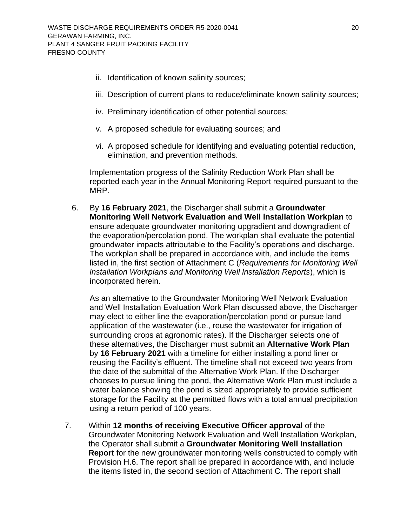- ii. Identification of known salinity sources;
- iii. Description of current plans to reduce/eliminate known salinity sources;
- iv. Preliminary identification of other potential sources;
- v. A proposed schedule for evaluating sources; and
- vi. A proposed schedule for identifying and evaluating potential reduction, elimination, and prevention methods.

Implementation progress of the Salinity Reduction Work Plan shall be reported each year in the Annual Monitoring Report required pursuant to the MRP.

6. By **16 February 2021**, the Discharger shall submit a **Groundwater Monitoring Well Network Evaluation and Well lnstallation Workplan** to ensure adequate groundwater monitoring upgradient and downgradient of the evaporation/percolation pond. The workplan shall evaluate the potential groundwater impacts attributable to the Facility's operations and discharge. The workplan shall be prepared in accordance with, and include the items listed in, the first section of Attachment C (*Requirements for Monitoring Well lnstallation Workplans and Monitoring Well lnstallation Reports*), which is incorporated herein.

As an alternative to the Groundwater Monitoring Well Network Evaluation and Well Installation Evaluation Work Plan discussed above, the Discharger may elect to either line the evaporation/percolation pond or pursue land application of the wastewater (i.e., reuse the wastewater for irrigation of surrounding crops at agronomic rates). If the Discharger selects one of these alternatives, the Discharger must submit an **Alternative Work Plan** by **16 February 2021** with a timeline for either installing a pond liner or reusing the Facility's effluent. The timeline shall not exceed two years from the date of the submittal of the Alternative Work Plan. If the Discharger chooses to pursue lining the pond, the Alternative Work Plan must include a water balance showing the pond is sized appropriately to provide sufficient storage for the Facility at the permitted flows with a total annual precipitation using a return period of 100 years.

7. Within **12 months of receiving Executive Officer approval** of the Groundwater Monitoring Network Evaluation and Well Installation Workplan, the Operator shall submit a **Groundwater Monitoring Well Installation Report** for the new groundwater monitoring wells constructed to comply with Provision H.6. The report shall be prepared in accordance with, and include the items listed in, the second section of Attachment C. The report shall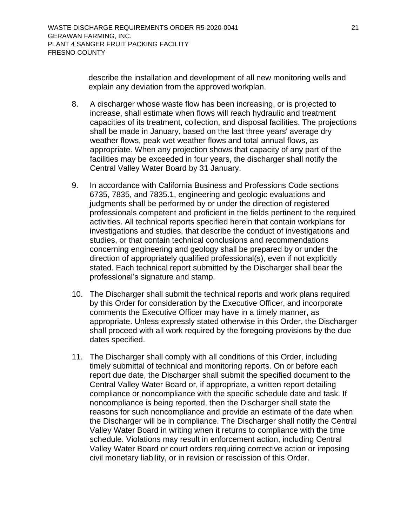describe the installation and development of all new monitoring wells and explain any deviation from the approved workplan.

- 8. A discharger whose waste flow has been increasing, or is projected to increase, shall estimate when flows will reach hydraulic and treatment capacities of its treatment, collection, and disposal facilities. The projections shall be made in January, based on the last three years' average dry weather flows, peak wet weather flows and total annual flows, as appropriate. When any projection shows that capacity of any part of the facilities may be exceeded in four years, the discharger shall notify the Central Valley Water Board by 31 January.
- 9. In accordance with California Business and Professions Code sections 6735, 7835, and 7835.1, engineering and geologic evaluations and judgments shall be performed by or under the direction of registered professionals competent and proficient in the fields pertinent to the required activities. All technical reports specified herein that contain workplans for investigations and studies, that describe the conduct of investigations and studies, or that contain technical conclusions and recommendations concerning engineering and geology shall be prepared by or under the direction of appropriately qualified professional(s), even if not explicitly stated. Each technical report submitted by the Discharger shall bear the professional's signature and stamp.
- 10. The Discharger shall submit the technical reports and work plans required by this Order for consideration by the Executive Officer, and incorporate comments the Executive Officer may have in a timely manner, as appropriate. Unless expressly stated otherwise in this Order, the Discharger shall proceed with all work required by the foregoing provisions by the due dates specified.
- 11. The Discharger shall comply with all conditions of this Order, including timely submittal of technical and monitoring reports. On or before each report due date, the Discharger shall submit the specified document to the Central Valley Water Board or, if appropriate, a written report detailing compliance or noncompliance with the specific schedule date and task. If noncompliance is being reported, then the Discharger shall state the reasons for such noncompliance and provide an estimate of the date when the Discharger will be in compliance. The Discharger shall notify the Central Valley Water Board in writing when it returns to compliance with the time schedule. Violations may result in enforcement action, including Central Valley Water Board or court orders requiring corrective action or imposing civil monetary liability, or in revision or rescission of this Order.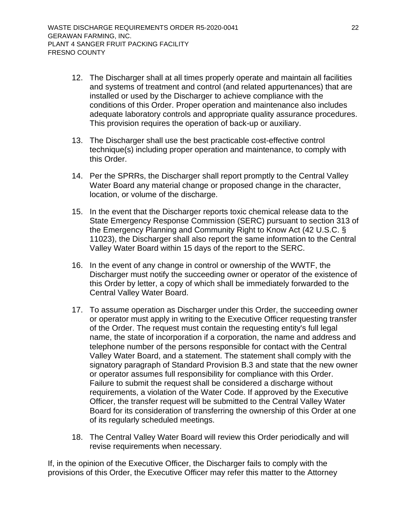- 12. The Discharger shall at all times properly operate and maintain all facilities and systems of treatment and control (and related appurtenances) that are installed or used by the Discharger to achieve compliance with the conditions of this Order. Proper operation and maintenance also includes adequate laboratory controls and appropriate quality assurance procedures. This provision requires the operation of back-up or auxiliary.
- 13. The Discharger shall use the best practicable cost-effective control technique(s) including proper operation and maintenance, to comply with this Order.
- 14. Per the SPRRs, the Discharger shall report promptly to the Central Valley Water Board any material change or proposed change in the character, location, or volume of the discharge.
- 15. In the event that the Discharger reports toxic chemical release data to the State Emergency Response Commission (SERC) pursuant to section 313 of the Emergency Planning and Community Right to Know Act (42 U.S.C. § 11023), the Discharger shall also report the same information to the Central Valley Water Board within 15 days of the report to the SERC.
- 16. In the event of any change in control or ownership of the WWTF, the Discharger must notify the succeeding owner or operator of the existence of this Order by letter, a copy of which shall be immediately forwarded to the Central Valley Water Board.
- 17. To assume operation as Discharger under this Order, the succeeding owner or operator must apply in writing to the Executive Officer requesting transfer of the Order. The request must contain the requesting entity's full legal name, the state of incorporation if a corporation, the name and address and telephone number of the persons responsible for contact with the Central Valley Water Board, and a statement. The statement shall comply with the signatory paragraph of Standard Provision B.3 and state that the new owner or operator assumes full responsibility for compliance with this Order. Failure to submit the request shall be considered a discharge without requirements, a violation of the Water Code. If approved by the Executive Officer, the transfer request will be submitted to the Central Valley Water Board for its consideration of transferring the ownership of this Order at one of its regularly scheduled meetings.
- 18. The Central Valley Water Board will review this Order periodically and will revise requirements when necessary.

If, in the opinion of the Executive Officer, the Discharger fails to comply with the provisions of this Order, the Executive Officer may refer this matter to the Attorney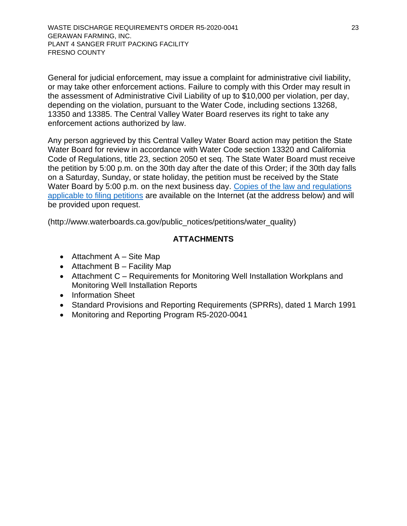[WASTE DISCHARGE REQUIREMENTS ORDER](#page-0-0) [R5-2020-0](#page-0-1)041 23 [GERAWAN FARMING, INC.](#page-0-2) PLANT 4 SANGER [FRUIT PACKING FACILITY](#page-0-3)  [FRESNO COUNTY](#page-0-4)

General for judicial enforcement, may issue a complaint for administrative civil liability, or may take other enforcement actions. Failure to comply with this Order may result in the assessment of Administrative Civil Liability of up to \$10,000 per violation, per day, depending on the violation, pursuant to the Water Code, including sections 13268, 13350 and 13385. The Central Valley Water Board reserves its right to take any enforcement actions authorized by law.

Any person aggrieved by this Central Valley Water Board action may petition the State Water Board for review in accordance with Water Code section 13320 and California Code of Regulations, title 23, section 2050 et seq. The State Water Board must receive the petition by 5:00 p.m. on the 30th day after the date of this Order; if the 30th day falls on a Saturday, Sunday, or state holiday, the petition must be received by the State Water Board by 5:00 p.m. on the next business day. [Copies of the law and regulations](https://www.waterboards.ca.gov/public_notices/petitions/water_quality/)  [applicable to filing petitions](https://www.waterboards.ca.gov/public_notices/petitions/water_quality/) are available on the Internet (at the address below) and will be provided upon request.

(http://www.waterboards.ca.gov/public\_notices/petitions/water\_quality)

### **ATTACHMENTS**

- Attachment  $A -$  Site Map
- Attachment B Facility Map
- Attachment C Requirements for Monitoring Well Installation Workplans and Monitoring Well Installation Reports
- Information Sheet
- Standard Provisions and Reporting Requirements (SPRRs), dated 1 March 1991
- Monitoring and Reporting Program [R5-2020-0](#page-0-1)041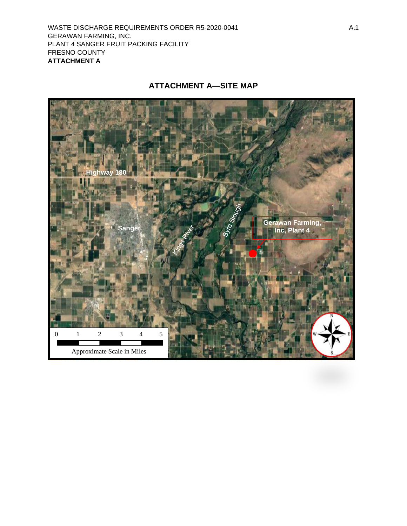[WASTE DISCHARGE REQUIREMENTS ORDER](#page-0-0) [R5-2020-0](#page-0-1)041 A.1 [GERAWAN FARMING, INC.](#page-0-2)  [PLANT 4 SANGER FRUIT PACKING FACILITY](#page-0-3)  [FRESNO COUNTY](#page-0-4)  **ATTACHMENT A**

# **ATTACHMENT A—SITE MAP**

<span id="page-28-0"></span>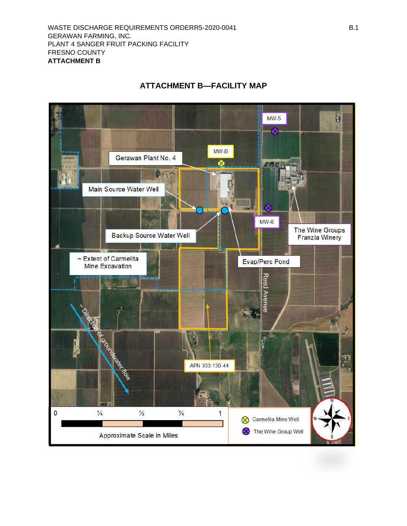<span id="page-29-0"></span>

# **ATTACHMENT B—FACILITY MAP**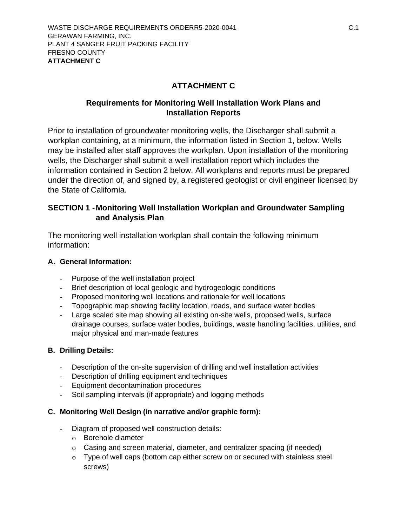# **ATTACHMENT C**

# <span id="page-30-0"></span>**Requirements for Monitoring Well Installation Work Plans and Installation Reports**

Prior to installation of groundwater monitoring wells, the Discharger shall submit a workplan containing, at a minimum, the information listed in Section 1, below. Wells may be installed after staff approves the workplan. Upon installation of the monitoring wells, the Discharger shall submit a well installation report which includes the information contained in Section 2 below. All workplans and reports must be prepared under the direction of, and signed by, a registered geologist or civil engineer licensed by the State of California.

## **SECTION 1 -Monitoring Well Installation Workplan and Groundwater Sampling and Analysis Plan**

The monitoring well installation workplan shall contain the following minimum information:

### **A. General Information:**

- Purpose of the well installation project
- Brief description of local geologic and hydrogeologic conditions
- Proposed monitoring well locations and rationale for well locations
- Topographic map showing facility location, roads, and surface water bodies
- Large scaled site map showing all existing on-site wells, proposed wells, surface drainage courses, surface water bodies, buildings, waste handling facilities, utilities, and major physical and man-made features

### **B. Drilling Details:**

- Description of the on-site supervision of drilling and well installation activities
- Description of drilling equipment and techniques
- Equipment decontamination procedures
- Soil sampling intervals (if appropriate) and logging methods

### **C. Monitoring Well Design (in narrative and/or graphic form):**

- Diagram of proposed well construction details:
	- o Borehole diameter
	- $\circ$  Casing and screen material, diameter, and centralizer spacing (if needed)
	- o Type of well caps (bottom cap either screw on or secured with stainless steel screws)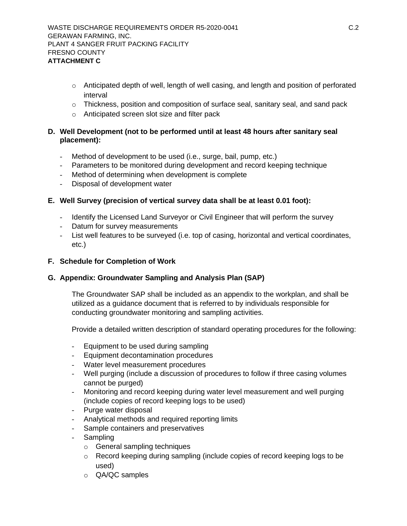- $\circ$  Anticipated depth of well, length of well casing, and length and position of perforated interval
- $\circ$  Thickness, position and composition of surface seal, sanitary seal, and sand pack
- o Anticipated screen slot size and filter pack

#### **D. Well Development (not to be performed until at least 48 hours after sanitary seal placement):**

- Method of development to be used (i.e., surge, bail, pump, etc.)
- Parameters to be monitored during development and record keeping technique
- Method of determining when development is complete
- Disposal of development water

#### **E. Well Survey (precision of vertical survey data shall be at least 0.01 foot):**

- Identify the Licensed Land Surveyor or Civil Engineer that will perform the survey
- Datum for survey measurements
- List well features to be surveyed (i.e. top of casing, horizontal and vertical coordinates, etc.)

#### **F. Schedule for Completion of Work**

### **G. Appendix: Groundwater Sampling and Analysis Plan (SAP)**

The Groundwater SAP shall be included as an appendix to the workplan, and shall be utilized as a guidance document that is referred to by individuals responsible for conducting groundwater monitoring and sampling activities.

Provide a detailed written description of standard operating procedures for the following:

- Equipment to be used during sampling
- Equipment decontamination procedures
- Water level measurement procedures
- Well purging (include a discussion of procedures to follow if three casing volumes cannot be purged)
- Monitoring and record keeping during water level measurement and well purging (include copies of record keeping logs to be used)
- Purge water disposal
- Analytical methods and required reporting limits
- Sample containers and preservatives
- Sampling
	- o General sampling techniques
	- o Record keeping during sampling (include copies of record keeping logs to be used)
	- o QA/QC samples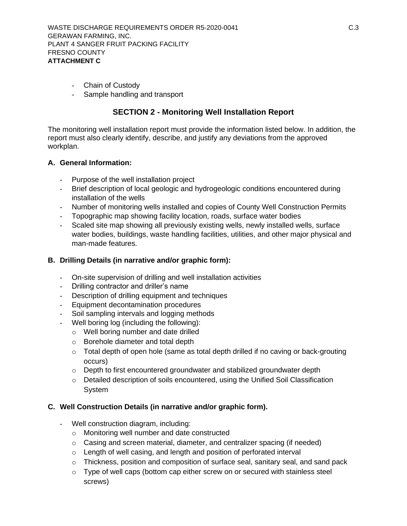- Chain of Custody
- Sample handling and transport

### **SECTION 2 - Monitoring Well Installation Report**

The monitoring well installation report must provide the information listed below. In addition, the report must also clearly identify, describe, and justify any deviations from the approved workplan.

#### **A. General Information:**

- Purpose of the well installation project
- Brief description of local geologic and hydrogeologic conditions encountered during installation of the wells
- Number of monitoring wells installed and copies of County Well Construction Permits
- Topographic map showing facility location, roads, surface water bodies
- Scaled site map showing all previously existing wells, newly installed wells, surface water bodies, buildings, waste handling facilities, utilities, and other major physical and man-made features.

#### **B. Drilling Details (in narrative and/or graphic form):**

- On-site supervision of drilling and well installation activities
- Drilling contractor and driller's name
- Description of drilling equipment and techniques
- Equipment decontamination procedures
- Soil sampling intervals and logging methods
- Well boring log (including the following):
	- o Well boring number and date drilled
	- o Borehole diameter and total depth
	- $\circ$  Total depth of open hole (same as total depth drilled if no caving or back-grouting occurs)
	- $\circ$  Depth to first encountered groundwater and stabilized groundwater depth
	- o Detailed description of soils encountered, using the Unified Soil Classification **System**

#### **C. Well Construction Details (in narrative and/or graphic form).**

- Well construction diagram, including:
	- o Monitoring well number and date constructed
	- o Casing and screen material, diameter, and centralizer spacing (if needed)
	- o Length of well casing, and length and position of perforated interval
	- $\circ$  Thickness, position and composition of surface seal, sanitary seal, and sand pack
	- $\circ$  Type of well caps (bottom cap either screw on or secured with stainless steel screws)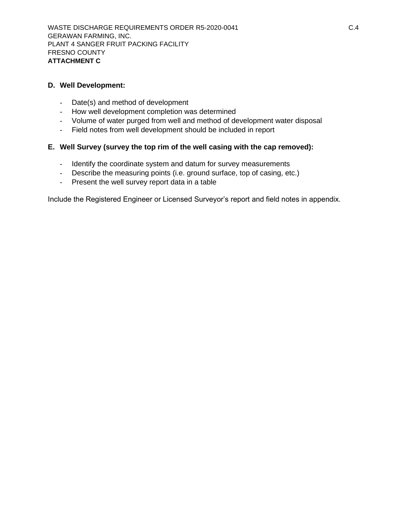#### **D. Well Development:**

- Date(s) and method of development
- How well development completion was determined
- Volume of water purged from well and method of development water disposal
- Field notes from well development should be included in report

#### **E. Well Survey (survey the top rim of the well casing with the cap removed):**

- Identify the coordinate system and datum for survey measurements
- Describe the measuring points (i.e. ground surface, top of casing, etc.)
- Present the well survey report data in a table

Include the Registered Engineer or Licensed Surveyor's report and field notes in appendix.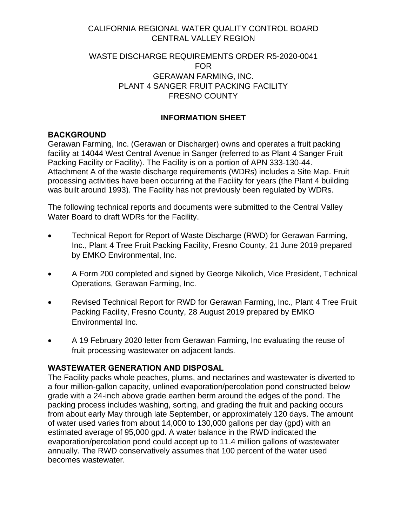# CALIFORNIA REGIONAL WATER QUALITY CONTROL BOARD CENTRAL VALLEY REGION

### [WASTE DISCHARGE REQUIREMENTS ORDER](#page-0-0) [R5-2020-0](#page-0-1)041 FOR [GERAWAN FARMING, INC.](#page-0-2) PLANT 4 SANGER [FRUIT PACKING FACILITY](#page-0-3)  [FRESNO COUNTY](#page-0-4)

# **INFORMATION SHEET**

# <span id="page-34-0"></span>**BACKGROUND**

Gerawan Farming, Inc. (Gerawan or Discharger) owns and operates a fruit packing facility at 14044 West Central Avenue in Sanger (referred to as Plant 4 Sanger Fruit Packing Facility or Facility). The Facility is on a portion of APN 333-130-44. Attachment A of the waste discharge requirements (WDRs) includes a Site Map. Fruit processing activities have been occurring at the Facility for years (the Plant 4 building was built around 1993). The Facility has not previously been regulated by WDRs.

The following technical reports and documents were submitted to the Central Valley Water Board to draft WDRs for the Facility.

- Technical Report for Report of Waste Discharge (RWD) for Gerawan Farming, Inc., Plant 4 Tree Fruit Packing Facility, Fresno County, 21 June 2019 prepared by EMKO Environmental, Inc.
- A Form 200 completed and signed by George Nikolich, Vice President, Technical Operations, Gerawan Farming, Inc.
- Revised Technical Report for RWD for Gerawan Farming, Inc., Plant 4 Tree Fruit Packing Facility, Fresno County, 28 August 2019 prepared by EMKO Environmental Inc.
- A 19 February 2020 letter from Gerawan Farming, Inc evaluating the reuse of fruit processing wastewater on adjacent lands.

## **WASTEWATER GENERATION AND DISPOSAL**

The Facility packs whole peaches, plums, and nectarines and wastewater is diverted to a four million-gallon capacity, unlined evaporation/percolation pond constructed below grade with a 24-inch above grade earthen berm around the edges of the pond. The packing process includes washing, sorting, and grading the fruit and packing occurs from about early May through late September, or approximately 120 days. The amount of water used varies from about 14,000 to 130,000 gallons per day (gpd) with an estimated average of 95,000 gpd. A water balance in the RWD indicated the evaporation/percolation pond could accept up to 11.4 million gallons of wastewater annually. The RWD conservatively assumes that 100 percent of the water used becomes wastewater.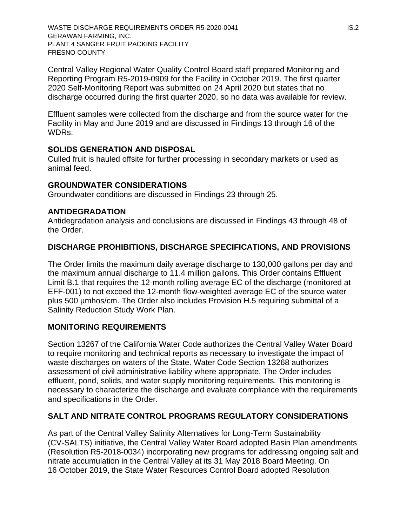[WASTE DISCHARGE REQUIREMENTS ORDER](#page-0-0) [R5-2020-0](#page-0-1)041 IS.2 [GERAWAN FARMING, INC.](#page-0-2) PLANT 4 SANGER [FRUIT PACKING FACILITY](#page-0-3)  [FRESNO COUNTY](#page-0-4)

Central Valley Regional Water Quality Control Board staff prepared Monitoring and Reporting Program R5-2019-0909 for the Facility in October 2019. The first quarter 2020 Self-Monitoring Report was submitted on 24 April 2020 but states that no discharge occurred during the first quarter 2020, so no data was available for review.

Effluent samples were collected from the discharge and from the source water for the Facility in May and June 2019 and are discussed in Findings 13 through 16 of the WDRs.

### **SOLIDS GENERATION AND DISPOSAL**

Culled fruit is hauled offsite for further processing in secondary markets or used as animal feed.

### **GROUNDWATER CONSIDERATIONS**

Groundwater conditions are discussed in Findings 23 through 25.

### **ANTIDEGRADATION**

Antidegradation analysis and conclusions are discussed in Findings 43 through 48 of the Order.

### **DISCHARGE PROHIBITIONS, DISCHARGE SPECIFICATIONS, AND PROVISIONS**

The Order limits the maximum daily average discharge to 130,000 gallons per day and the maximum annual discharge to 11.4 million gallons. This Order contains Effluent Limit B.1 that requires the 12-month rolling average EC of the discharge (monitored at EFF-001) to not exceed the 12-month flow-weighted average EC of the source water plus 500 µmhos/cm. The Order also includes Provision H.5 requiring submittal of a Salinity Reduction Study Work Plan.

### **MONITORING REQUIREMENTS**

Section 13267 of the California Water Code authorizes the Central Valley Water Board to require monitoring and technical reports as necessary to investigate the impact of waste discharges on waters of the State. Water Code Section 13268 authorizes assessment of civil administrative liability where appropriate. The Order includes effluent, pond, solids, and water supply monitoring requirements. This monitoring is necessary to characterize the discharge and evaluate compliance with the requirements and specifications in the Order.

### **SALT AND NITRATE CONTROL PROGRAMS REGULATORY CONSIDERATIONS**

As part of the Central Valley Salinity Alternatives for Long-Term Sustainability (CV-SALTS) initiative, the Central Valley Water Board adopted Basin Plan amendments (Resolution R5-2018-0034) incorporating new programs for addressing ongoing salt and nitrate accumulation in the Central Valley at its 31 May 2018 Board Meeting. On 16 October 2019, the State Water Resources Control Board adopted Resolution